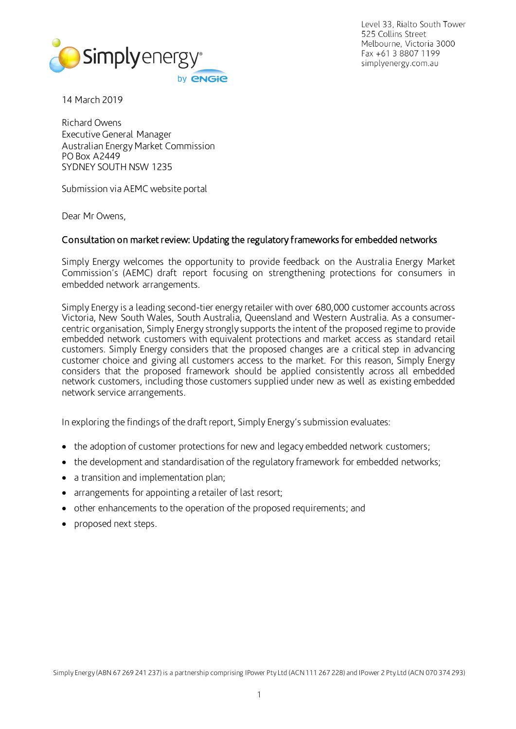

Level 33, Rialto South Tower 525 Collins Street Melbourne, Victoria 3000 Fax +61 3 8807 1199 simplyenergy.com.au

14 March 2019

Richard Owens Executive General Manager Australian Energy Market Commission PO Box A2449 SYDNEY SOUTH NSW 1235

Submission via AEMC website portal

Dear Mr Owens,

## Consultation on market review: Updating the regulatory frameworks for embedded networks

Simply Energy welcomes the opportunity to provide feedback on the Australia Energy Market Commission's (AEMC) draft report focusing on strengthening protections for consumers in embedded network arrangements.

Simply Energy is a leading second-tier energy retailer with over 680,000 customer accounts across Victoria, New South Wales, South Australia, Queensland and Western Australia. As a consumercentric organisation, Simply Energy strongly supports the intent of the proposed regime to provide embedded network customers with equivalent protections and market access as standard retail customers. Simply Energy considers that the proposed changes are a critical step in advancing customer choice and giving all customers access to the market. For this reason, Simply Energy considers that the proposed framework should be applied consistently across all embedded network customers, including those customers supplied under new as well as existing embedded network service arrangements.

In exploring the findings of the draft report, Simply Energy's submission evaluates:

- the adoption of customer protections for new and legacy embedded network customers;
- the development and standardisation of the regulatory framework for embedded networks;
- a transition and implementation plan;
- arrangements for appointing a retailer of last resort;
- other enhancements to the operation of the proposed requirements; and
- proposed next steps.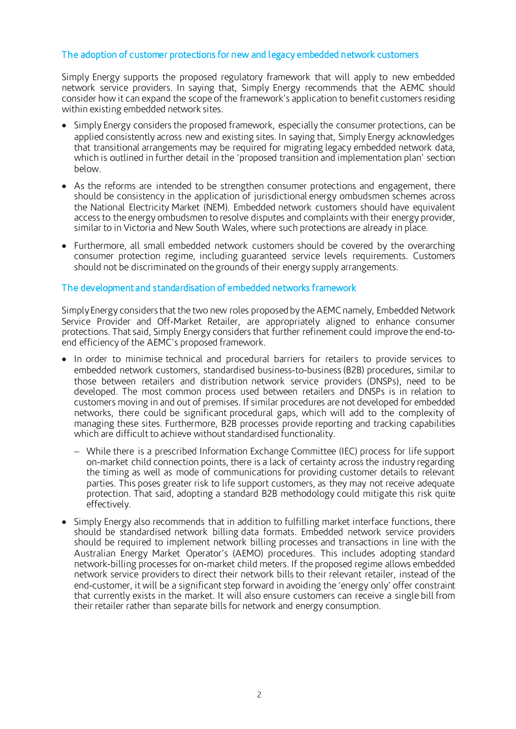# The adoption of customer protections for new and legacy embedded network customers

Simply Energy supports the proposed regulatory framework that will apply to new embedded network service providers. In saying that, Simply Energy recommends that the AEMC should consider how it can expand the scope of the framework's application to benefit customers residing within existing embedded network sites.

- Simply Energy considers the proposed framework, especially the consumer protections, can be applied consistently across new and existing sites. In saying that, Simply Energy acknowledges that transitional arrangements may be required for migrating legacy embedded network data, which is outlined in further detail in the 'proposed transition and implementation plan' section below.
- As the reforms are intended to be strengthen consumer protections and engagement, there should be consistency in the application of jurisdictional energy ombudsmen schemes across the National Electricity Market (NEM). Embedded network customers should have equivalent access to the energy ombudsmen to resolve disputes and complaints with their energy provider, similar to in Victoria and New South Wales, where such protections are already in place.
- Furthermore, all small embedded network customers should be covered by the overarching consumer protection regime, including guaranteed service levels requirements. Customers should not be discriminated on the grounds of their energy supply arrangements.

### The development and standardisation of embedded networks framework

Simply Energy considers that the two new roles proposed by the AEMC namely, Embedded Network Service Provider and Off-Market Retailer, are appropriately aligned to enhance consumer protections. That said, Simply Energy considers that further refinement could improve the end-toend efficiency of the AEMC's proposed framework.

- In order to minimise technical and procedural barriers for retailers to provide services to embedded network customers, standardised business-to-business (B2B) procedures, similar to those between retailers and distribution network service providers (DNSPs), need to be developed. The most common process used between retailers and DNSPs is in relation to customers moving in and out of premises. If similar procedures are not developed for embedded networks, there could be significant procedural gaps, which will add to the complexity of managing these sites. Furthermore, B2B processes provide reporting and tracking capabilities which are difficult to achieve without standardised functionality.
	- − While there is a prescribed Information Exchange Committee (IEC) process for life support on-market child connection points, there is a lack of certainty across the industry regarding the timing as well as mode of communications for providing customer details to relevant parties. This poses greater risk to life support customers, as they may not receive adequate protection. That said, adopting a standard B2B methodology could mitigate this risk quite effectively.
- Simply Energy also recommends that in addition to fulfilling market interface functions, there should be standardised network billing data formats. Embedded network service providers should be required to implement network billing processes and transactions in line with the Australian Energy Market Operator's (AEMO) procedures. This includes adopting standard network-billing processes for on-market child meters. If the proposed regime allows embedded network service providers to direct their network bills to their relevant retailer, instead of the end-customer, it will be a significant step forward in avoiding the 'energy only' offer constraint that currently exists in the market. It will also ensure customers can receive a single bill from their retailer rather than separate bills for network and energy consumption.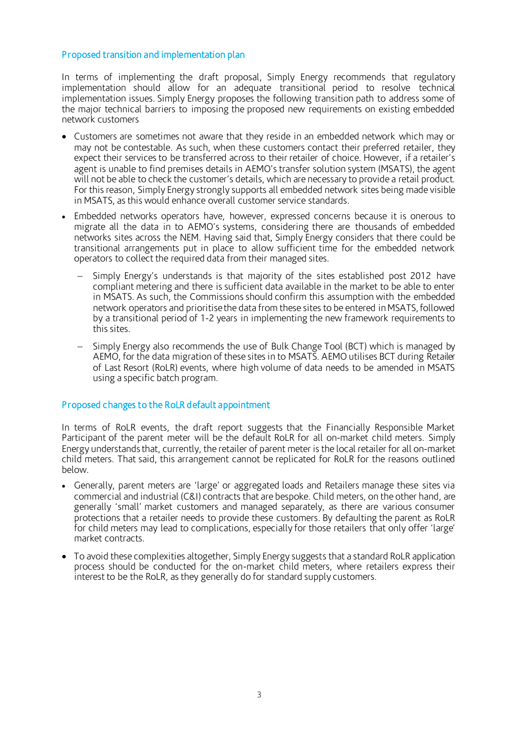# Proposed transition and implementation plan

In terms of implementing the draft proposal, Simply Energy recommends that regulatory implementation should allow for an adequate transitional period to resolve technical implementation issues. Simply Energy proposes the following transition path to address some of the major technical barriers to imposing the proposed new requirements on existing embedded network customers

- Customers are sometimes not aware that they reside in an embedded network which may or may not be contestable. As such, when these customers contact their preferred retailer, they expect their services to be transferred across to their retailer of choice. However, if a retailer's agent is unable to find premises details in AEMO's transfer solution system (MSATS), the agent will not be able to check the customer's details, which are necessary to provide a retail product. For this reason, Simply Energy strongly supports all embedded network sites being made visible in MSATS, as this would enhance overall customer service standards.
- Embedded networks operators have, however, expressed concerns because it is onerous to migrate all the data in to AEMO's systems, considering there are thousands of embedded networks sites across the NEM. Having said that, Simply Energy considers that there could be transitional arrangements put in place to allow sufficient time for the embedded network operators to collect the required data from their managed sites.
	- Simply Energy's understands is that majority of the sites established post 2012 have compliant metering and there is sufficient data available in the market to be able to enter in MSATS. As such, the Commissions should confirm this assumption with the embedded network operators and prioritise the data from these sites to be entered in MSATS, followed by a transitional period of 1-2 years in implementing the new framework requirements to this sites.
	- − Simply Energy also recommends the use of Bulk Change Tool (BCT) which is managed by AEMO, for the data migration of these sites in to MSATS. AEMO utilises BCT during Retailer of Last Resort (RoLR) events, where high volume of data needs to be amended in MSATS using a specific batch program.

## Proposed changes to the RoLR default appointment

In terms of RoLR events, the draft report suggests that the Financially Responsible Market Participant of the parent meter will be the default RoLR for all on-market child meters. Simply Energy understands that, currently, the retailer of parent meter is the local retailer for all on-market child meters. That said, this arrangement cannot be replicated for RoLR for the reasons outlined below.

- Generally, parent meters are 'large' or aggregated loads and Retailers manage these sites via commercial and industrial (C&I) contracts that are bespoke. Child meters, on the other hand, are generally 'small' market customers and managed separately, as there are various consumer protections that a retailer needs to provide these customers. By defaulting the parent as RoLR for child meters may lead to complications, especially for those retailers that only offer 'large' market contracts.
- To avoid these complexities altogether, Simply Energy suggests that a standard RoLR application process should be conducted for the on-market child meters, where retailers express their interest to be the RoLR, as they generally do for standard supply customers.